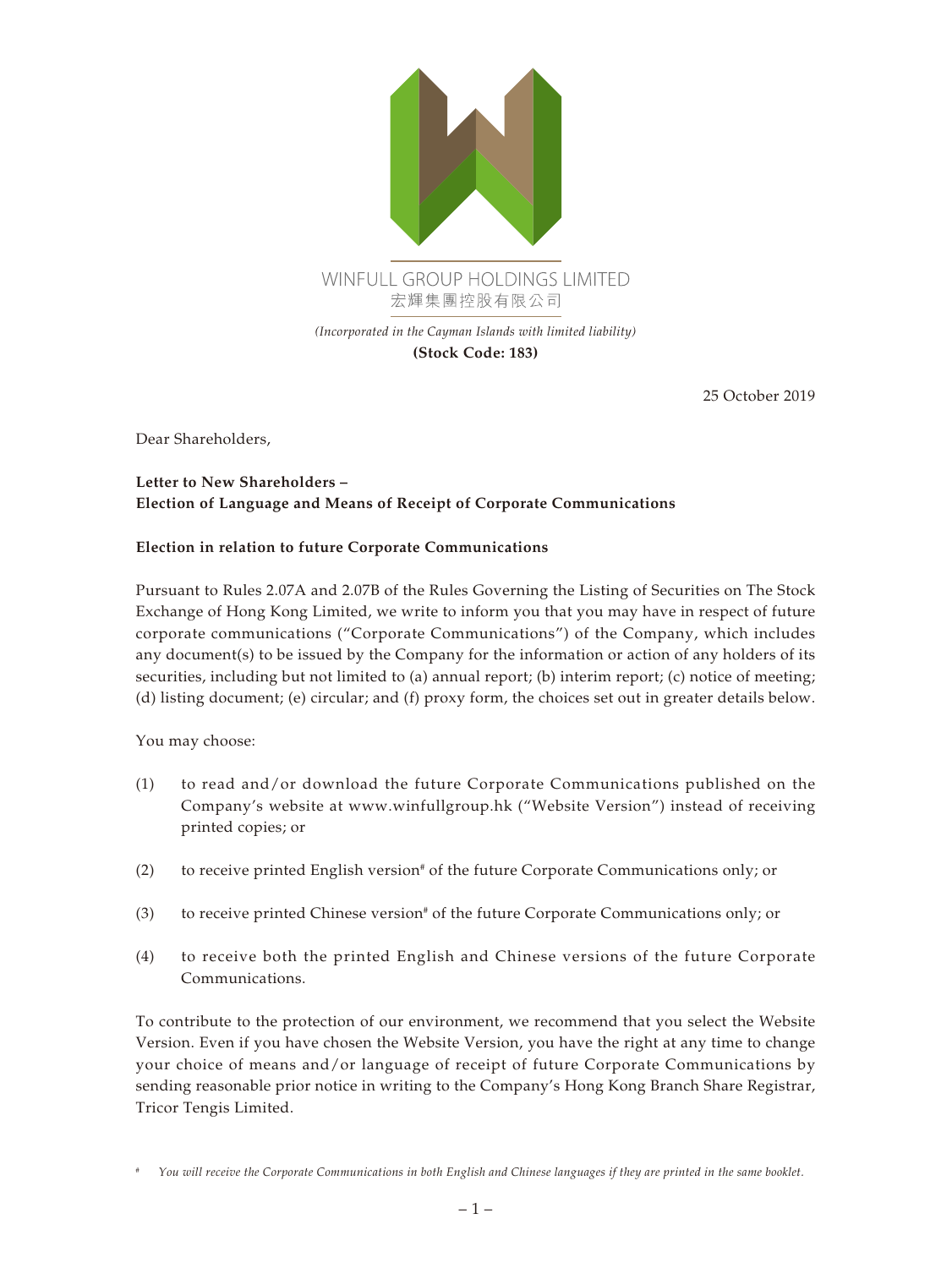

**(Stock Code: 183)**

25 October 2019

Dear Shareholders,

## **Letter to New Shareholders – Election of Language and Means of Receipt of Corporate Communications**

## **Election in relation to future Corporate Communications**

Pursuant to Rules 2.07A and 2.07B of the Rules Governing the Listing of Securities on The Stock Exchange of Hong Kong Limited, we write to inform you that you may have in respect of future corporate communications ("Corporate Communications") of the Company, which includes any document(s) to be issued by the Company for the information or action of any holders of its securities, including but not limited to (a) annual report; (b) interim report; (c) notice of meeting; (d) listing document; (e) circular; and (f) proxy form, the choices set out in greater details below.

You may choose:

- (1) to read and/or download the future Corporate Communications published on the Company's website at www.winfullgroup.hk ("Website Version") instead of receiving printed copies; or
- (2) to receive printed English version<sup>#</sup> of the future Corporate Communications only; or
- (3) to receive printed Chinese version<sup>#</sup> of the future Corporate Communications only; or
- (4) to receive both the printed English and Chinese versions of the future Corporate Communications.

To contribute to the protection of our environment, we recommend that you select the Website Version. Even if you have chosen the Website Version, you have the right at any time to change your choice of means and/or language of receipt of future Corporate Communications by sending reasonable prior notice in writing to the Company's Hong Kong Branch Share Registrar, Tricor Tengis Limited.

*<sup>#</sup> You will receive the Corporate Communications in both English and Chinese languages if they are printed in the same booklet.*